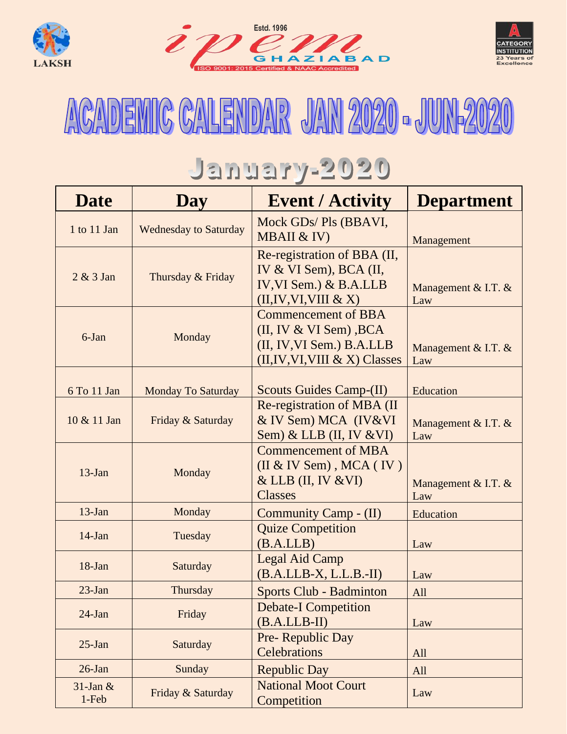





## ACADEMIC CALENDAR JAN 2020 - JUN-2020

## January-2020

| <b>Date</b>          | <b>Day</b>                   | <b>Event / Activity</b>                                                                                                  | <b>Department</b>            |
|----------------------|------------------------------|--------------------------------------------------------------------------------------------------------------------------|------------------------------|
| 1 to 11 Jan          | <b>Wednesday to Saturday</b> | Mock GDs/Pls (BBAVI,<br>MBAII & IV)                                                                                      | Management                   |
| $2 & 3$ Jan          | Thursday & Friday            | Re-registration of BBA (II,<br>IV & VI Sem), BCA (II,<br>IV, VI Sem.) $&$ B.A.LLB<br>(II, IV, VI, VIII & X)              | Management & I.T. $&$<br>Law |
| 6-Jan                | Monday                       | <b>Commencement of BBA</b><br>$(II, IV & VI Sem)$ , BCA<br>(II, IV, VI Sem.) B.A.LLB<br>$(II, IV, VI, VIII & X)$ Classes | Management & I.T. $&$<br>Law |
| 6 To 11 Jan          | <b>Monday To Saturday</b>    | <b>Scouts Guides Camp-(II)</b>                                                                                           | Education                    |
| 10 & 11 Jan          | Friday & Saturday            | Re-registration of MBA (II<br>& IV Sem) MCA (IV&VI<br>Sem) & LLB $(II, IV & VI)$                                         | Management & I.T. $&$<br>Law |
| $13$ -Jan            | Monday                       | <b>Commencement of MBA</b><br>$(II & IV Sem)$ , MCA $(IV)$<br>$&$ LLB (II, IV $&$ VI)<br><b>Classes</b>                  | Management & I.T. $&$<br>Law |
| $13$ -Jan            | Monday                       | Community Camp - (II)                                                                                                    | Education                    |
| $14$ -Jan            | Tuesday                      | <b>Quize Competition</b><br>(B.A.LB)                                                                                     | Law                          |
| $18$ -Jan            | Saturday                     | Legal Aid Camp<br>$(B.A.LLB-X, L.L.B.-II)$                                                                               | Law                          |
| $23$ -Jan            | Thursday                     | Sports Club - Badminton                                                                                                  | All                          |
| $24$ -Jan            | Friday                       | <b>Debate-I Competition</b><br>$(B.A.LLB-II)$                                                                            | Law                          |
| $25$ -Jan            | Saturday                     | Pre-Republic Day<br>Celebrations                                                                                         | All                          |
| $26$ -Jan            | Sunday                       | <b>Republic Day</b>                                                                                                      | All                          |
| $31$ -Jan &<br>1-Feb | Friday & Saturday            | <b>National Moot Court</b><br>Competition                                                                                | Law                          |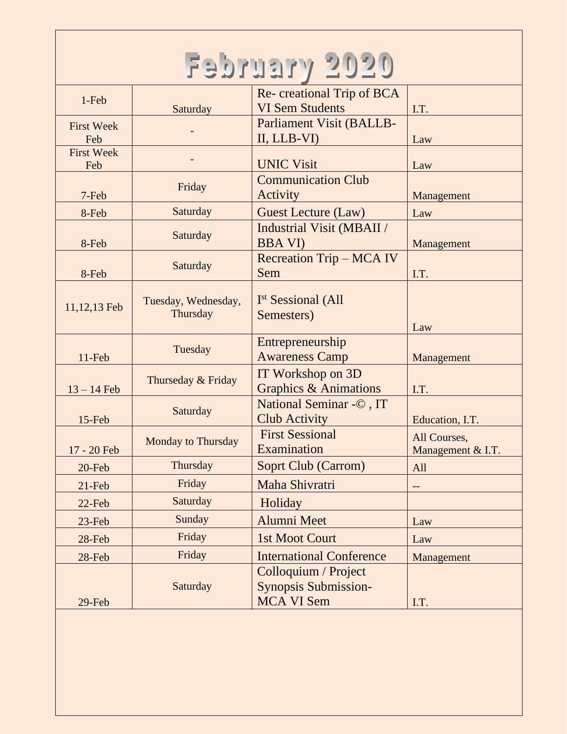| February 2020            |                                 |                                                                          |                                   |
|--------------------------|---------------------------------|--------------------------------------------------------------------------|-----------------------------------|
| 1-Feb                    | Saturday                        | Re-creational Trip of BCA<br><b>VI Sem Students</b>                      | I.T.                              |
| <b>First Week</b><br>Feb |                                 | Parliament Visit (BALLB-<br>II, LLB-VI)                                  | Law                               |
| <b>First Week</b><br>Feb |                                 | <b>UNIC Visit</b>                                                        | Law                               |
| 7-Feb                    | Friday                          | <b>Communication Club</b><br>Activity                                    | Management                        |
| 8-Feb                    | Saturday                        | <b>Guest Lecture (Law)</b>                                               | Law                               |
| 8-Feb                    | Saturday                        | <b>Industrial Visit (MBAII /</b><br><b>BBA VI)</b>                       | Management                        |
| 8-Feb                    | Saturday                        | <b>Recreation Trip - MCA IV</b><br>Sem                                   | I.T.                              |
| 11,12,13 Feb             | Tuesday, Wednesday,<br>Thursday | I <sup>st</sup> Sessional (All<br>Semesters)                             | Law                               |
| $11-Feb$                 | Tuesday                         | Entrepreneurship<br><b>Awareness Camp</b>                                | Management                        |
| $13 - 14$ Feb            | Thurseday & Friday              | IT Workshop on 3D<br><b>Graphics &amp; Animations</b>                    | I.T.                              |
| $15$ -Feb                | Saturday                        | National Seminar - ©, IT<br><b>Club Activity</b>                         | Education, I.T.                   |
| 17 - 20 Feb              | <b>Monday to Thursday</b>       | <b>First Sessional</b><br>Examination                                    | All Courses,<br>Management & I.T. |
| $20$ -Feb                | Thursday                        | <b>Soprt Club (Carrom)</b>                                               | All                               |
| $21$ -Feb                | Friday                          | Maha Shivratri                                                           |                                   |
| $22$ -Feb                | Saturday                        | Holiday                                                                  |                                   |
| $23$ -Feb                | Sunday                          | Alumni Meet                                                              | Law                               |
| 28-Feb                   | Friday                          | 1st Moot Court                                                           | Law                               |
| 28-Feb                   | Friday                          | <b>International Conference</b>                                          | Management                        |
| 29-Feb                   | Saturday                        | Colloquium / Project<br><b>Synopsis Submission-</b><br><b>MCA VI Sem</b> | I.T.                              |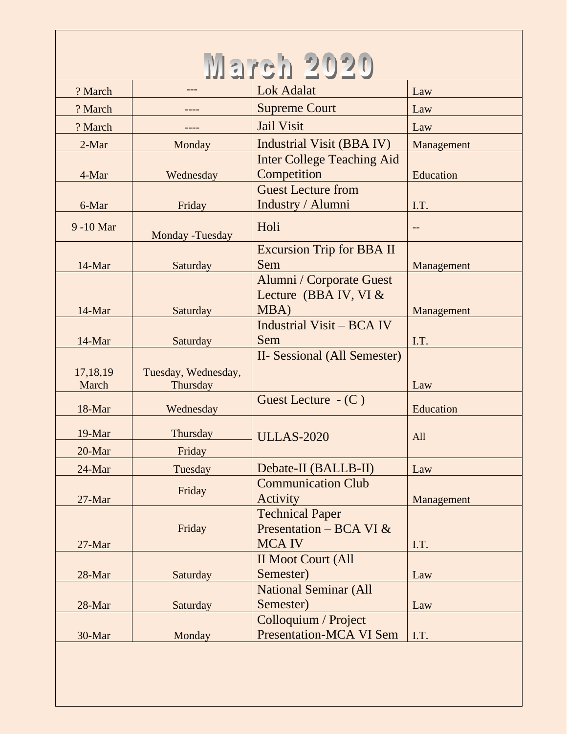| UETC              |                                 |                                                                      |            |
|-------------------|---------------------------------|----------------------------------------------------------------------|------------|
| ? March           |                                 | <b>Lok Adalat</b>                                                    | Law        |
| ? March           |                                 | <b>Supreme Court</b>                                                 | Law        |
| ? March           |                                 | <b>Jail Visit</b>                                                    | Law        |
| 2-Mar             | Monday                          | Industrial Visit (BBA IV)                                            | Management |
|                   |                                 | <b>Inter College Teaching Aid</b>                                    |            |
| 4-Mar             | Wednesday                       | Competition                                                          | Education  |
|                   |                                 | <b>Guest Lecture from</b>                                            |            |
| 6-Mar             | Friday                          | Industry / Alumni                                                    | I.T.       |
| 9 -10 Mar         | Monday - Tuesday                | Holi                                                                 |            |
|                   |                                 | <b>Excursion Trip for BBA II</b>                                     |            |
| 14-Mar            | Saturday                        | Sem                                                                  | Management |
| 14-Mar            | Saturday                        | Alumni / Corporate Guest<br>Lecture (BBA IV, VI $&$<br>MBA)          | Management |
|                   |                                 | <b>Industrial Visit – BCA IV</b>                                     |            |
| 14-Mar            | Saturday                        | Sem                                                                  | I.T.       |
| 17,18,19<br>March | Tuesday, Wednesday,<br>Thursday | II- Sessional (All Semester)                                         | Law        |
| 18-Mar            | Wednesday                       | Guest Lecture $ (C)$                                                 | Education  |
| 19-Mar            | Thursday                        | <b>ULLAS-2020</b>                                                    | All        |
| 20-Mar            | Friday                          |                                                                      |            |
| 24-Mar            | Tuesday                         | Debate-II (BALLB-II)                                                 | Law        |
| 27-Mar            | Friday                          | <b>Communication Club</b><br>Activity                                | Management |
| 27-Mar            | Friday                          | <b>Technical Paper</b><br>Presentation – BCA VI $&$<br><b>MCA IV</b> | I.T.       |
|                   |                                 | <b>II Moot Court (All</b>                                            |            |
| 28-Mar            | Saturday                        | Semester)                                                            | Law        |
|                   |                                 | <b>National Seminar (All</b>                                         |            |
| 28-Mar            | Saturday                        | Semester)                                                            | Law        |
| 30-Mar            | Monday                          | Colloquium / Project<br><b>Presentation-MCA VI Sem</b>               | I.T.       |
|                   |                                 |                                                                      |            |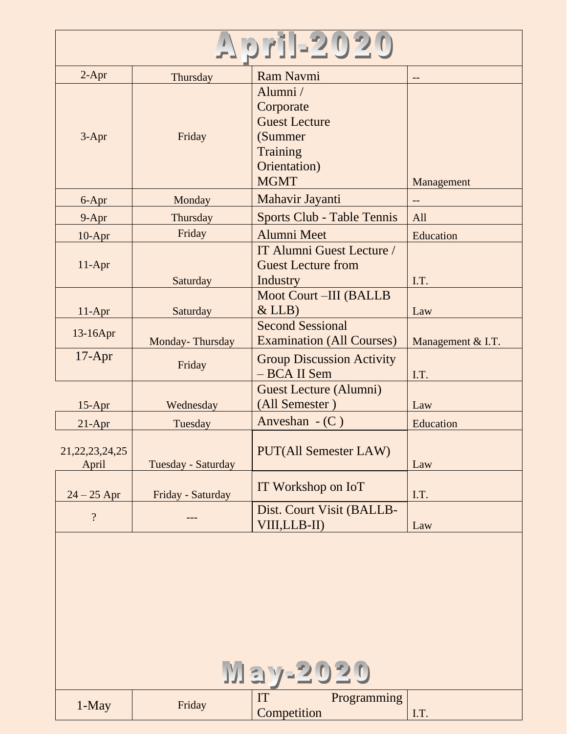| pri-2020                                                |                    |                                                                                                           |                   |
|---------------------------------------------------------|--------------------|-----------------------------------------------------------------------------------------------------------|-------------------|
| $2-Apr$                                                 | Thursday           | <b>Ram Navmi</b>                                                                                          |                   |
| $3-Apr$                                                 | Friday             | Alumni/<br>Corporate<br><b>Guest Lecture</b><br>(Summer<br><b>Training</b><br>Orientation)<br><b>MGMT</b> | Management        |
| 6-Apr                                                   | Monday             | Mahavir Jayanti                                                                                           |                   |
| $9 - Apr$                                               | Thursday           | Sports Club - Table Tennis                                                                                | All               |
| $10-Apr$                                                | Friday             | <b>Alumni Meet</b>                                                                                        | Education         |
| $11-Apr$                                                | Saturday           | IT Alumni Guest Lecture /<br><b>Guest Lecture from</b><br><b>Industry</b>                                 | I.T.              |
| $11-Apr$                                                | Saturday           | <b>Moot Court-III (BALLB)</b><br>$&$ LLB)                                                                 | Law               |
| 13-16Apr                                                | Monday-Thursday    | <b>Second Sessional</b><br><b>Examination (All Courses)</b>                                               | Management & I.T. |
| $17$ -Apr                                               | Friday             | <b>Group Discussion Activity</b><br>- BCA II Sem                                                          | I.T.              |
| $15-Apr$                                                | Wednesday          | Guest Lecture (Alumni)<br>(All Semester)                                                                  | Law               |
| $21-Apr$                                                | Tuesday            | Anveshan $-$ (C)                                                                                          | Education         |
| 21, 22, 23, 24, 25<br>April                             | Tuesday - Saturday | <b>PUT(All Semester LAW)</b>                                                                              | Law               |
| $24 - 25$ Apr                                           | Friday - Saturday  | IT Workshop on IoT                                                                                        | I.T.              |
| $\overline{\mathcal{L}}$                                |                    | Dist. Court Visit (BALLB-<br>VIII,LLB-II)                                                                 | Law               |
| <u>May-2020</u><br>IT<br>Programming<br>1-May<br>Friday |                    |                                                                                                           |                   |
|                                                         |                    | Competition                                                                                               | I.T.              |